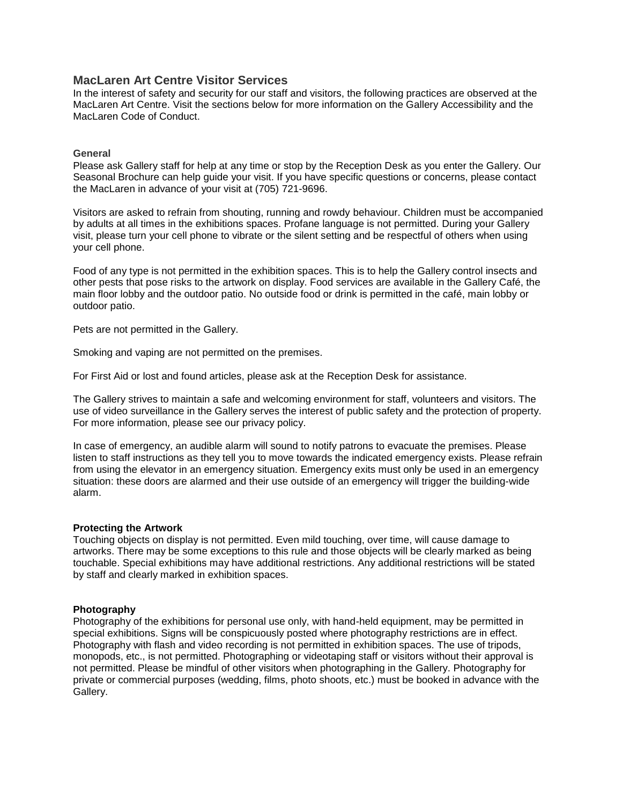# **MacLaren Art Centre Visitor Services**

In the interest of safety and security for our staff and visitors, the following practices are observed at the MacLaren Art Centre. Visit the sections below for more information on the Gallery Accessibility and the MacLaren Code of Conduct.

### **General**

Please ask Gallery staff for help at any time or stop by the Reception Desk as you enter the Gallery. Our Seasonal Brochure can help guide your visit. If you have specific questions or concerns, please contact the MacLaren in advance of your visit at (705) 721-9696.

Visitors are asked to refrain from shouting, running and rowdy behaviour. Children must be accompanied by adults at all times in the exhibitions spaces. Profane language is not permitted. During your Gallery visit, please turn your cell phone to vibrate or the silent setting and be respectful of others when using your cell phone.

Food of any type is not permitted in the exhibition spaces. This is to help the Gallery control insects and other pests that pose risks to the artwork on display. Food services are available in the Gallery Café, the main floor lobby and the outdoor patio. No outside food or drink is permitted in the café, main lobby or outdoor patio.

Pets are not permitted in the Gallery.

Smoking and vaping are not permitted on the premises.

For First Aid or lost and found articles, please ask at the Reception Desk for assistance.

The Gallery strives to maintain a safe and welcoming environment for staff, volunteers and visitors. The use of video surveillance in the Gallery serves the interest of public safety and the protection of property. For more information, please see our privacy policy.

In case of emergency, an audible alarm will sound to notify patrons to evacuate the premises. Please listen to staff instructions as they tell you to move towards the indicated emergency exists. Please refrain from using the elevator in an emergency situation. Emergency exits must only be used in an emergency situation: these doors are alarmed and their use outside of an emergency will trigger the building-wide alarm.

## **Protecting the Artwork**

Touching objects on display is not permitted. Even mild touching, over time, will cause damage to artworks. There may be some exceptions to this rule and those objects will be clearly marked as being touchable. Special exhibitions may have additional restrictions. Any additional restrictions will be stated by staff and clearly marked in exhibition spaces.

## **Photography**

Photography of the exhibitions for personal use only, with hand-held equipment, may be permitted in special exhibitions. Signs will be conspicuously posted where photography restrictions are in effect. Photography with flash and video recording is not permitted in exhibition spaces. The use of tripods, monopods, etc., is not permitted. Photographing or videotaping staff or visitors without their approval is not permitted. Please be mindful of other visitors when photographing in the Gallery. Photography for private or commercial purposes (wedding, films, photo shoots, etc.) must be booked in advance with the Gallery.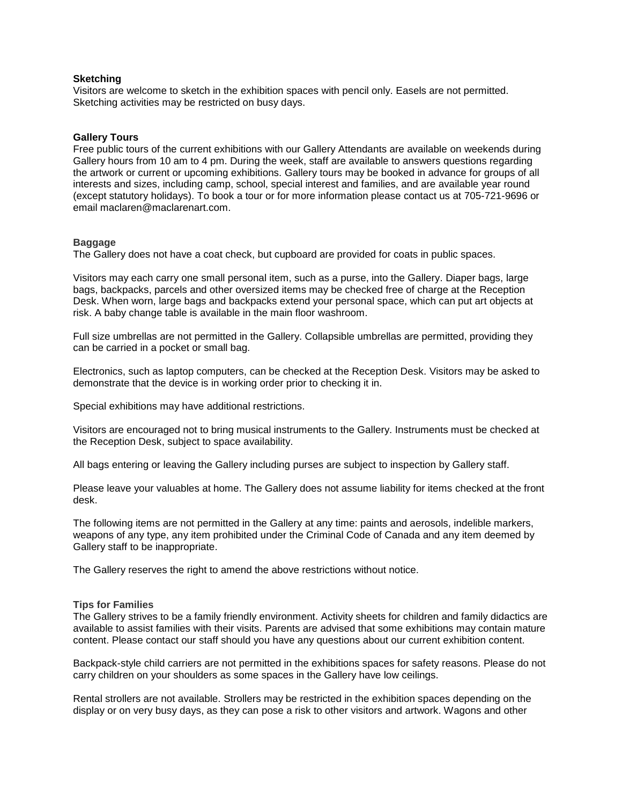## **Sketching**

Visitors are welcome to sketch in the exhibition spaces with pencil only. Easels are not permitted. Sketching activities may be restricted on busy days.

### **Gallery Tours**

Free public tours of the current exhibitions with our Gallery Attendants are available on weekends during Gallery hours from 10 am to 4 pm. During the week, staff are available to answers questions regarding the artwork or current or upcoming exhibitions. Gallery tours may be booked in advance for groups of all interests and sizes, including camp, school, special interest and families, and are available year round (except statutory holidays). To book a tour or for more information please contact us at 705-721-9696 or email [maclaren@maclarenart.com.](mailto:maclaren@maclarenart.com)

### **Baggage**

The Gallery does not have a coat check, but cupboard are provided for coats in public spaces.

Visitors may each carry one small personal item, such as a purse, into the Gallery. Diaper bags, large bags, backpacks, parcels and other oversized items may be checked free of charge at the Reception Desk. When worn, large bags and backpacks extend your personal space, which can put art objects at risk. A baby change table is available in the main floor washroom.

Full size umbrellas are not permitted in the Gallery. Collapsible umbrellas are permitted, providing they can be carried in a pocket or small bag.

Electronics, such as laptop computers, can be checked at the Reception Desk. Visitors may be asked to demonstrate that the device is in working order prior to checking it in.

Special exhibitions may have additional restrictions.

Visitors are encouraged not to bring musical instruments to the Gallery. Instruments must be checked at the Reception Desk, subject to space availability.

All bags entering or leaving the Gallery including purses are subject to inspection by Gallery staff.

Please leave your valuables at home. The Gallery does not assume liability for items checked at the front desk.

The following items are not permitted in the Gallery at any time: paints and aerosols, indelible markers, weapons of any type, any item prohibited under the Criminal Code of Canada and any item deemed by Gallery staff to be inappropriate.

The Gallery reserves the right to amend the above restrictions without notice.

### **Tips for Families**

The Gallery strives to be a family friendly environment. Activity sheets for children and family didactics are available to assist families with their visits. Parents are advised that some exhibitions may contain mature content. Please contact our staff should you have any questions about our current exhibition content.

Backpack-style child carriers are not permitted in the exhibitions spaces for safety reasons. Please do not carry children on your shoulders as some spaces in the Gallery have low ceilings.

Rental strollers are not available. Strollers may be restricted in the exhibition spaces depending on the display or on very busy days, as they can pose a risk to other visitors and artwork. Wagons and other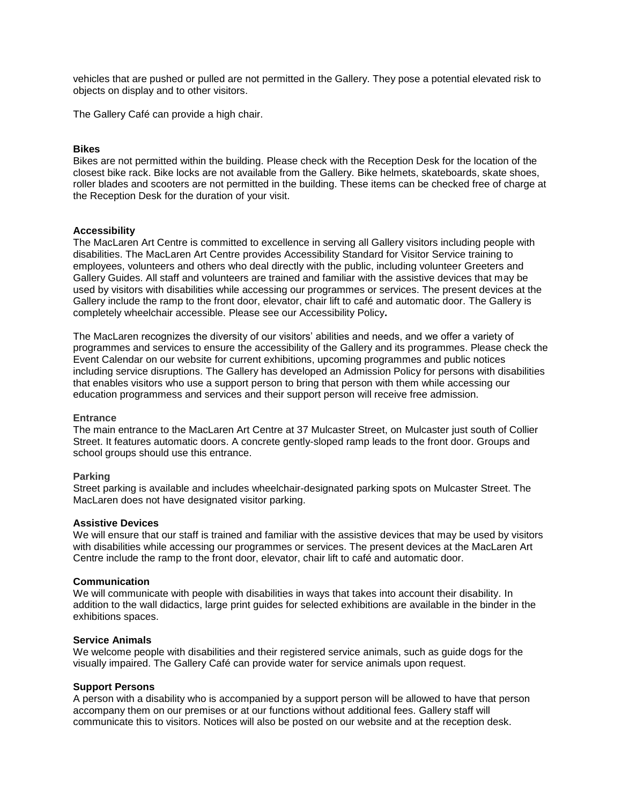vehicles that are pushed or pulled are not permitted in the Gallery. They pose a potential elevated risk to objects on display and to other visitors.

The Gallery Café can provide a high chair.

### **Bikes**

Bikes are not permitted within the building. Please check with the Reception Desk for the location of the closest bike rack. Bike locks are not available from the Gallery. Bike helmets, skateboards, skate shoes, roller blades and scooters are not permitted in the building. These items can be checked free of charge at the Reception Desk for the duration of your visit.

### **Accessibility**

The MacLaren Art Centre is committed to excellence in serving all Gallery visitors including people with disabilities. The MacLaren Art Centre provides Accessibility Standard for Visitor Service training to employees, volunteers and others who deal directly with the public, including volunteer Greeters and Gallery Guides. All staff and volunteers are trained and familiar with the assistive devices that may be used by visitors with disabilities while accessing our programmes or services. The present devices at the Gallery include the ramp to the front door, elevator, chair lift to café and automatic door. The Gallery is completely wheelchair accessible. Please see our Accessibility Policy**.** 

The MacLaren recognizes the diversity of our visitors' abilities and needs, and we offer a variety of programmes and services to ensure the accessibility of the Gallery and its programmes. Please check th[e](http://www.rom.on.ca/activities-programs/events-calendar) Event [Calendar](http://www.rom.on.ca/activities-programs/events-calendar) on our website for current exhibitions, upcoming programmes and public notices including service disruptions. The Gallery has developed an Admission Policy for persons with disabilities that enables visitors who use a support person to bring that person with them while accessing our education programmess and services and their support person will receive free admission.

### **Entrance**

The main entrance to the MacLaren Art Centre at 37 Mulcaster Street, on Mulcaster just south of Collier Street. It features automatic doors. A concrete gently-sloped ramp leads to the front door. Groups and school groups should use this entrance.

### **Parking**

Street parking is available and includes wheelchair-designated parking spots on Mulcaster Street. The MacLaren does not have designated visitor parking.

### **Assistive Devices**

We will ensure that our staff is trained and familiar with the assistive devices that may be used by visitors with disabilities while accessing our programmes or services. The present devices at the MacLaren Art Centre include the ramp to the front door, elevator, chair lift to café and automatic door.

### **Communication**

We will communicate with people with disabilities in ways that takes into account their disability. In addition to the wall didactics, large print guides for selected exhibitions are available in the binder in the exhibitions spaces.

#### **Service Animals**

We welcome people with disabilities and their registered service animals, such as guide dogs for the visually impaired. The Gallery Café can provide water for service animals upon request.

#### **Support Persons**

A person with a disability who is accompanied by a support person will be allowed to have that person accompany them on our premises or at our functions without additional fees. Gallery staff will communicate this to visitors. Notices will also be posted on our website and at the reception desk.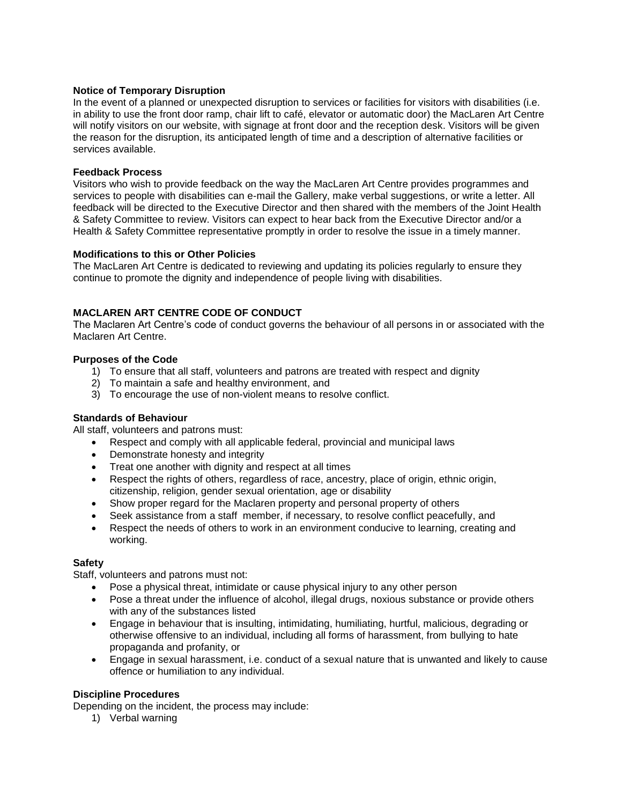## **Notice of Temporary Disruption**

In the event of a planned or unexpected disruption to services or facilities for visitors with disabilities (i.e. in ability to use the front door ramp, chair lift to café, elevator or automatic door) the MacLaren Art Centre will notify visitors on our website, with signage at front door and the reception desk. Visitors will be given the reason for the disruption, its anticipated length of time and a description of alternative facilities or services available.

### **Feedback Process**

Visitors who wish to provide feedback on the way the MacLaren Art Centre provides programmes and services to people with disabilities can e-mail the Gallery, make verbal suggestions, or write a letter. All feedback will be directed to the Executive Director and then shared with the members of the Joint Health & Safety Committee to review. Visitors can expect to hear back from the Executive Director and/or a Health & Safety Committee representative promptly in order to resolve the issue in a timely manner.

### **Modifications to this or Other Policies**

The MacLaren Art Centre is dedicated to reviewing and updating its policies regularly to ensure they continue to promote the dignity and independence of people living with disabilities.

# **MACLAREN ART CENTRE CODE OF CONDUCT**

The Maclaren Art Centre's code of conduct governs the behaviour of all persons in or associated with the Maclaren Art Centre.

### **Purposes of the Code**

- 1) To ensure that all staff, volunteers and patrons are treated with respect and dignity
- 2) To maintain a safe and healthy environment, and
- 3) To encourage the use of non-violent means to resolve conflict.

## **Standards of Behaviour**

All staff, volunteers and patrons must:

- Respect and comply with all applicable federal, provincial and municipal laws
- Demonstrate honesty and integrity
- Treat one another with dignity and respect at all times
- Respect the rights of others, regardless of race, ancestry, place of origin, ethnic origin, citizenship, religion, gender sexual orientation, age or disability
- Show proper regard for the Maclaren property and personal property of others
- Seek assistance from a staff member, if necessary, to resolve conflict peacefully, and
- Respect the needs of others to work in an environment conducive to learning, creating and working.

## **Safety**

Staff, volunteers and patrons must not:

- Pose a physical threat, intimidate or cause physical injury to any other person
- Pose a threat under the influence of alcohol, illegal drugs, noxious substance or provide others with any of the substances listed
- Engage in behaviour that is insulting, intimidating, humiliating, hurtful, malicious, degrading or otherwise offensive to an individual, including all forms of harassment, from bullying to hate propaganda and profanity, or
- Engage in sexual harassment, i.e. conduct of a sexual nature that is unwanted and likely to cause offence or humiliation to any individual.

## **Discipline Procedures**

Depending on the incident, the process may include:

1) Verbal warning